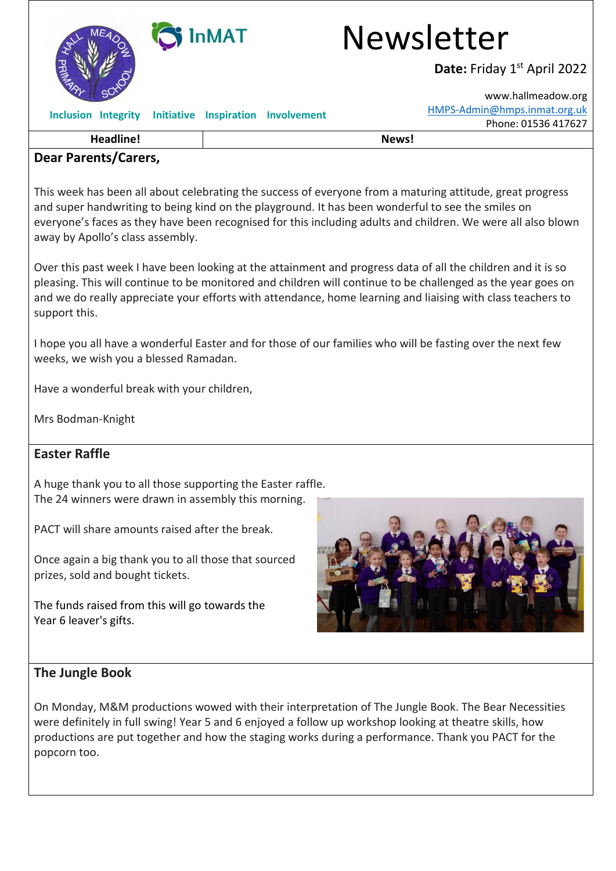

## **Dear Parents/Carers,**

This week has been all about celebrating the success of everyone from a maturing attitude, great progress and super handwriting to being kind on the playground. It has been wonderful to see the smiles on everyone's faces as they have been recognised for this including adults and children. We were all also blown away by Apollo's class assembly.

Over this past week I have been looking at the attainment and progress data of all the children and it is so pleasing. This will continue to be monitored and children will continue to be challenged as the year goes on and we do really appreciate your efforts with attendance, home learning and liaising with class teachers to support this.

I hope you all have a wonderful Easter and for those of our families who will be fasting over the next few weeks, we wish you a blessed Ramadan.

Have a wonderful break with your children,

Mrs Bodman-Knight

## **Easter Raffle**

A huge thank you to all those supporting the Easter raffle. The 24 winners were drawn in assembly this morning.

PACT will share amounts raised after the break.

Once again a big thank you to all those that sourced prizes, sold and bought tickets.

The funds raised from this will go towards the Year 6 leaver's gifts.



## **The Jungle Book**

On Monday, M&M productions wowed with their interpretation of The Jungle Book. The Bear Necessities were definitely in full swing! Year 5 and 6 enjoyed a follow up workshop looking at theatre skills, how productions are put together and how the staging works during a performance. Thank you PACT for the popcorn too.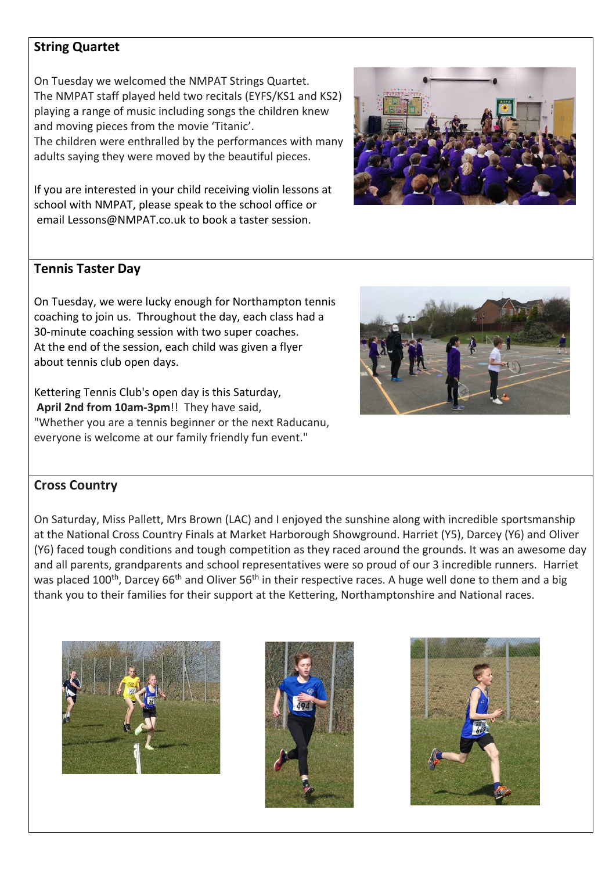## **String Quartet**

On Tuesday we welcomed the NMPAT Strings Quartet. The NMPAT staff played held two recitals (EYFS/KS1 and KS2) playing a range of music including songs the children knew and moving pieces from the movie 'Titanic'. The children were enthralled by the performances with many adults saying they were moved by the beautiful pieces.

If you are interested in your child receiving violin lessons at school with NMPAT, please speak to the school office or email [Lessons@NMPAT.co.uk](mailto:Lessons@NMPAT.co.uk) to book a taster session.



## **Tennis Taster Day**

On Tuesday, we were lucky enough for Northampton tennis coaching to join us. Throughout the day, each class had a 30-minute coaching session with two super coaches. At the end of the session, each child was given a flyer about tennis club open days.

Kettering Tennis Club's open day is this Saturday, **April 2nd from 10am-3pm**!! They have said, "Whether you are a tennis beginner or the next Raducanu, everyone is welcome at our family friendly fun event."



## **Cross Country**

On Saturday, Miss Pallett, Mrs Brown (LAC) and I enjoyed the sunshine along with incredible sportsmanship at the National Cross Country Finals at Market Harborough Showground. Harriet (Y5), Darcey (Y6) and Oliver (Y6) faced tough conditions and tough competition as they raced around the grounds. It was an awesome day and all parents, grandparents and school representatives were so proud of our 3 incredible runners. Harriet was placed 100<sup>th</sup>, Darcey 66<sup>th</sup> and Oliver 56<sup>th</sup> in their respective races. A huge well done to them and a big thank you to their families for their support at the Kettering, Northamptonshire and National races.





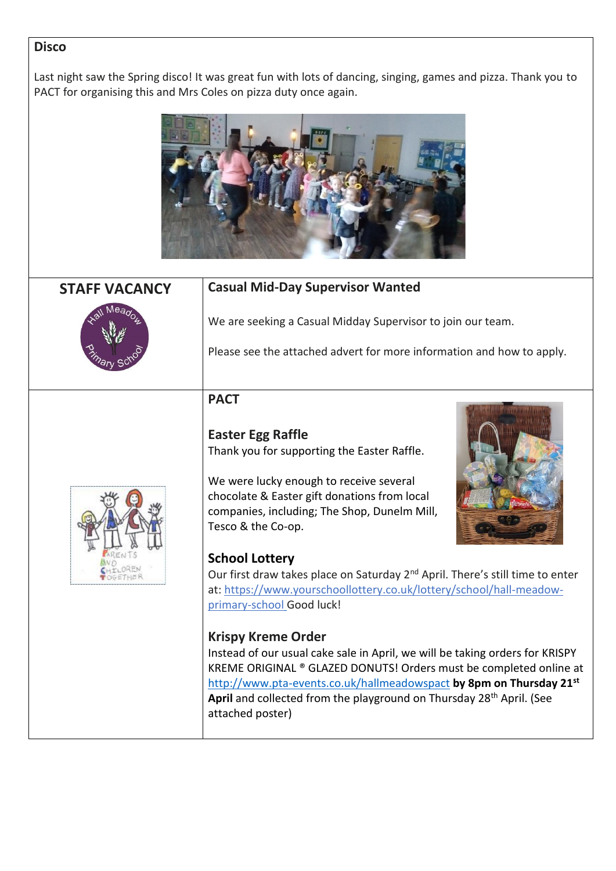### **Disco**

Last night saw the Spring disco! It was great fun with lots of dancing, singing, games and pizza. Thank you to PACT for organising this and Mrs Coles on pizza duty once again.



# **STAFF VACANCY Casual Mid-Day Supervisor Wanted**



We are seeking a Casual Midday Supervisor to join our team.

Please see the attached advert for more information and how to apply.

## **PACT**

## **Easter Egg Raffle** Thank you for supporting the Easter Raffle.



We were lucky enough to receive several chocolate & Easter gift donations from local companies, including; The Shop, Dunelm Mill, Tesco & the Co-op.

## **School Lottery**



Our first draw takes place on Saturday 2<sup>nd</sup> April. There's still time to enter at: [https://www.yourschoollottery.co.uk/lottery/school/hall-meadow](https://www.yourschoollottery.co.uk/lottery/school/hall-meadow-primary-school)[primary-school](https://www.yourschoollottery.co.uk/lottery/school/hall-meadow-primary-school) Good luck!

## **Krispy Kreme Order**

Instead of our usual cake sale in April, we will be taking orders for KRISPY KREME ORIGINAL ® GLAZED DONUTS! Orders must be completed online at <http://www.pta-events.co.uk/hallmeadowspact> **by 8pm on Thursday 21st** April and collected from the playground on Thursday 28<sup>th</sup> April. (See attached poster)